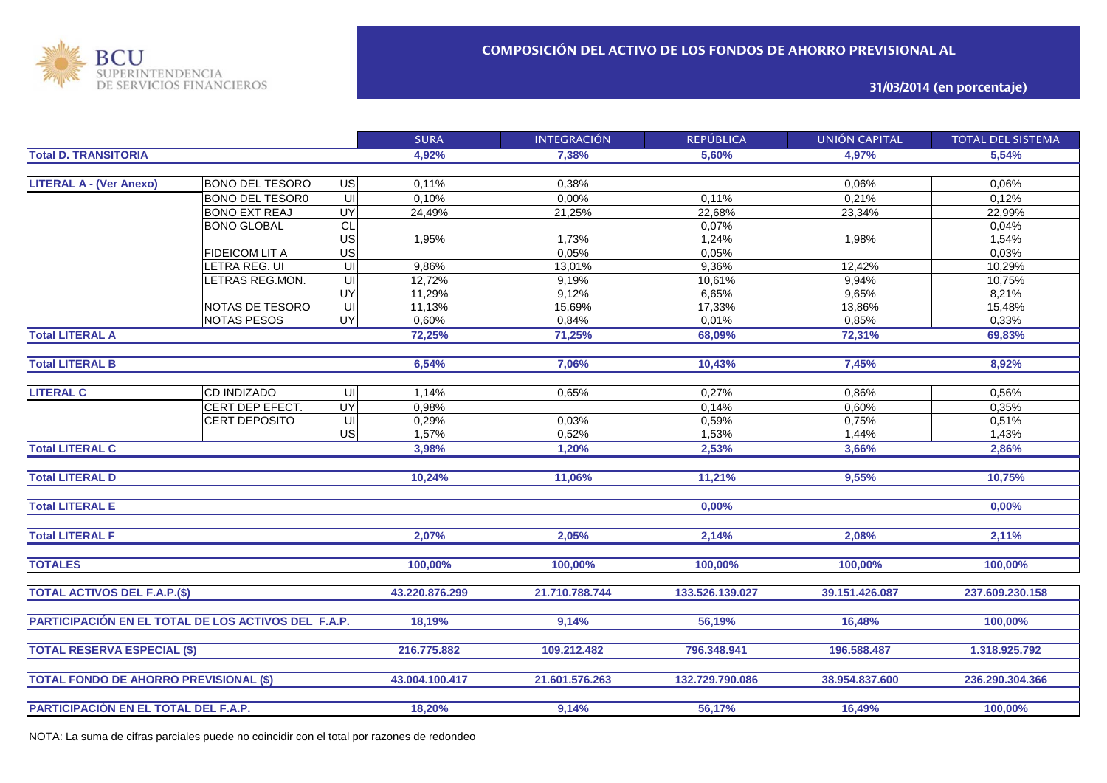

**31/03/2014 (en porcentaje)**

|                                                     |                        |                         | <b>SURA</b>    | <b>INTEGRACIÓN</b> | <b>REPÚBLICA</b> | <b>UNIÓN CAPITAL</b> | <b>TOTAL DEL SISTEMA</b> |
|-----------------------------------------------------|------------------------|-------------------------|----------------|--------------------|------------------|----------------------|--------------------------|
| <b>Total D. TRANSITORIA</b>                         |                        | 4,92%                   | 7.38%          | 5.60%              | 4,97%            | 5.54%                |                          |
|                                                     |                        |                         |                |                    |                  |                      |                          |
| <b>LITERAL A - (Ver Anexo)</b>                      | <b>BONO DEL TESORO</b> | $\overline{G}$          | 0,11%          | 0,38%              |                  | 0,06%                | 0,06%                    |
|                                                     | <b>BONO DEL TESOR0</b> | $\overline{\mathsf{c}}$ | 0,10%          | 0,00%              | 0,11%            | 0,21%                | 0,12%                    |
|                                                     | <b>BONO EXT REAJ</b>   | UY                      | 24,49%         | 21,25%             | 22,68%           | 23,34%               | 22,99%                   |
|                                                     | <b>BONO GLOBAL</b>     | CL                      |                |                    | 0,07%            |                      | 0,04%                    |
|                                                     |                        | US                      | 1,95%          | 1,73%              | 1,24%            | 1,98%                | 1,54%                    |
|                                                     | <b>FIDEICOM LIT A</b>  | US                      |                | 0,05%              | 0,05%            |                      | 0,03%                    |
|                                                     | LETRA REG. UI          | UI                      | 9,86%          | 13,01%             | 9,36%            | 12,42%               | 10,29%                   |
|                                                     | LETRAS REG.MON.        | U <sub>l</sub>          | 12,72%         | 9,19%              | 10,61%           | 9,94%                | 10,75%                   |
|                                                     |                        | UY                      | 11,29%         | 9,12%              | 6,65%            | 9,65%                | 8,21%                    |
|                                                     | NOTAS DE TESORO        | UI                      | 11,13%         | 15,69%             | 17,33%           | 13,86%               | 15,48%                   |
|                                                     | <b>NOTAS PESOS</b>     | <b>UY</b>               | 0,60%          | 0,84%              | 0,01%            | 0,85%                | 0,33%                    |
| <b>Total LITERAL A</b>                              |                        |                         | 72,25%         | 71,25%             | 68,09%           | 72,31%               | 69,83%                   |
|                                                     |                        |                         |                |                    |                  |                      |                          |
| <b>Total LITERAL B</b>                              |                        |                         | 6,54%          | 7,06%              | 10,43%           | 7,45%                | 8,92%                    |
|                                                     |                        |                         |                |                    |                  |                      |                          |
| <b>LITERAL C</b>                                    | CD INDIZADO            | UI                      | 1,14%          | 0,65%              | 0,27%            | 0,86%                | 0,56%                    |
|                                                     | CERT DEP EFECT.        | <b>UY</b>               | 0,98%          |                    | 0,14%            | 0,60%                | 0,35%                    |
|                                                     | CERT DEPOSITO          | UI                      | 0,29%          | 0,03%              | 0,59%            | 0,75%                | 0,51%                    |
|                                                     |                        | US                      | 1,57%          | 0,52%              | 1,53%            | 1,44%                | 1,43%                    |
| <b>Total LITERAL C</b>                              |                        |                         | 3,98%          | 1,20%              | 2,53%            | 3,66%                | 2,86%                    |
|                                                     |                        |                         |                |                    |                  |                      |                          |
| <b>Total LITERAL D</b>                              |                        |                         | 10,24%         | 11,06%             | 11,21%           | 9,55%                | 10,75%                   |
|                                                     |                        |                         |                |                    |                  |                      |                          |
| <b>Total LITERAL E</b>                              |                        |                         |                |                    | 0,00%            |                      | 0,00%                    |
|                                                     |                        |                         |                |                    |                  |                      |                          |
| <b>Total LITERAL F</b>                              |                        |                         | 2,07%          | 2,05%              | 2,14%            | 2,08%                | 2,11%                    |
|                                                     |                        |                         |                |                    |                  |                      |                          |
| <b>TOTALES</b>                                      |                        |                         | 100,00%        | 100,00%            | 100,00%          | 100,00%              | 100,00%                  |
|                                                     |                        |                         |                |                    |                  |                      |                          |
| <b>TOTAL ACTIVOS DEL F.A.P.(\$)</b>                 |                        |                         | 43.220.876.299 | 21.710.788.744     | 133.526.139.027  | 39.151.426.087       | 237.609.230.158          |
|                                                     |                        |                         |                |                    |                  |                      |                          |
| PARTICIPACIÓN EN EL TOTAL DE LOS ACTIVOS DEL F.A.P. |                        |                         | 18,19%         | 9,14%              | 56,19%           | 16,48%               | 100.00%                  |
|                                                     |                        |                         |                |                    |                  |                      |                          |
|                                                     |                        |                         | 216.775.882    |                    |                  |                      |                          |
| <b>TOTAL RESERVA ESPECIAL (\$)</b>                  |                        |                         |                | 109.212.482        | 796.348.941      | 196.588.487          | 1.318.925.792            |
|                                                     |                        |                         |                |                    |                  |                      |                          |
| <b>TOTAL FONDO DE AHORRO PREVISIONAL (\$)</b>       |                        |                         | 43.004.100.417 | 21.601.576.263     | 132.729.790.086  | 38.954.837.600       | 236.290.304.366          |
|                                                     |                        |                         |                |                    |                  |                      |                          |
| PARTICIPACIÓN EN EL TOTAL DEL F.A.P.                |                        |                         | 18,20%         | 9,14%              | 56,17%           | 16,49%               | 100,00%                  |

NOTA: La suma de cifras parciales puede no coincidir con el total por razones de redondeo